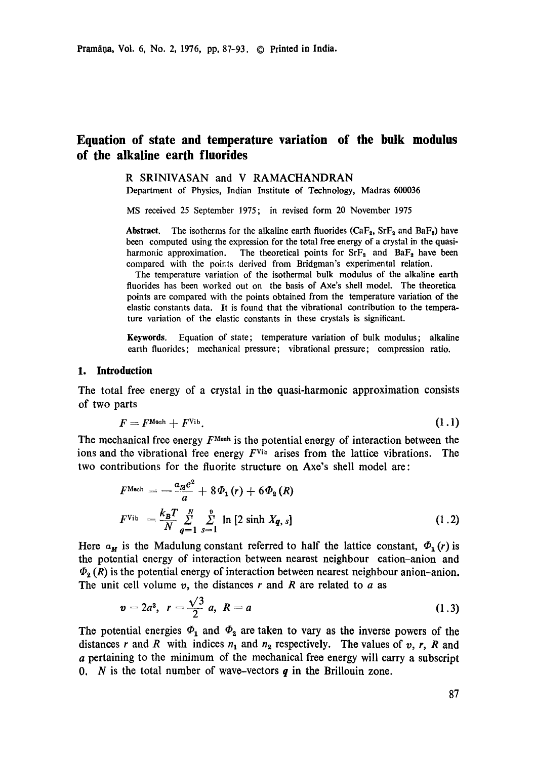# **Equation of state and temperature variation of the bulk modulus of the alkaline earth fluorides**

#### R SRINIVASAN and V RAMACHANDRAN

Department of Physics, Indian Institute of Technology, Madras 600036

MS received 25 September 1975; in revised form 20 November 1975

**Abstract.** The isotherms for the alkaline earth fluorides  $(CaF_2, SrF_2, and BaF_2)$  have been computed using the expression for the total free energy of a crystal in the quasiharmonic approximation. The theoretical points for  $\text{SrF}_2$  and  $\text{BaF}_2$  have been compared with the points derived from Bridgman's experimental relation.

The temperature variation of the isothermal bulk modulus of the alkaline earth fluorides has been worked out on the basis of Axe's shell model. The theoretica points are compared with the points obtained from the temperature variation of the elastic constants data. It is found that the vibrational contribution to the temperature variation of the elastic constants in these crystals is significant.

Keywords. Equation of state; temperature variation of bulk modulus; alkaline earth fluorides; mechanical pressure; vibrational pressure; compression ratio.

### **1. Introduction**

The total free energy of a crystal in the quasi-harmonic approximation consists of two parts

$$
F = F^{\text{Mach}} + F^{\text{Vib}}.\tag{1.1}
$$

The mechanical free energy  $F^{\text{Mech}}$  is the potential energy of interaction between the ions and the vibrational free energy  $F<sup>V</sup>$  arises from the lattice vibrations. The two contributions for the fluorite structure on Axo's shell model are:

$$
F^{\text{Mech}} = -\frac{a_M e^2}{a} + 8\Phi_1(r) + 6\Phi_2(R)
$$
  

$$
F^{\text{Vib}} = \frac{k_B T}{N} \sum_{q=1}^{N} \sum_{s=1}^{9} \ln [2 \sinh X_q, s]
$$
 (1.2)

Here  $a_{\mu}$  is the Madulung constant referred to half the lattice constant,  $\Phi_1(r)$  is the potential energy of interaction between nearest neighbour cation-anion and  $\Phi_2(R)$  is the potential energy of interaction between nearest neighbour anion-anion. The unit cell volume  $v$ , the distances  $r$  and  $R$  are related to  $a$  as

$$
v = 2a^3, r = \frac{\sqrt{3}}{2} a, R = a \tag{1.3}
$$

The potential energies  $\Phi_1$  and  $\Phi_2$  are taken to vary as the inverse powers of the distances r and R with indices  $n_1$  and  $n_2$  respectively. The values of v, r, R and a pertaining to the minimum of the mechanical free energy will carry a subscript 0. N is the total number of wave-vectors  $q$  in the Brillouin zone.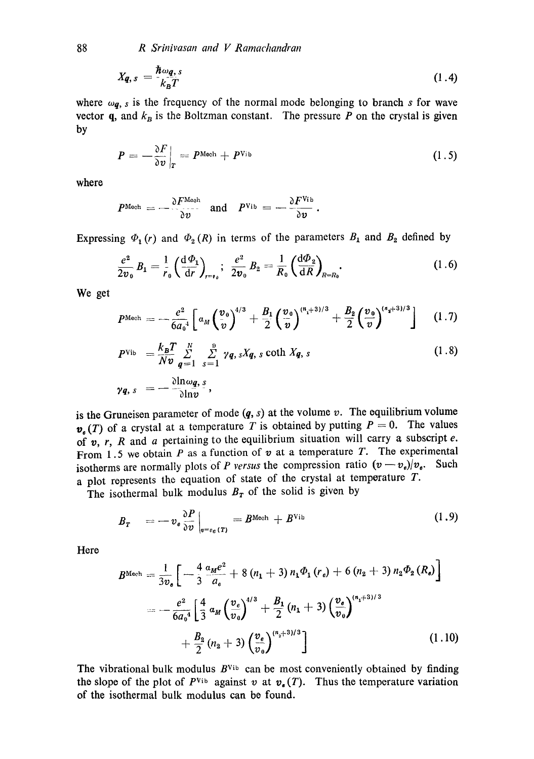$$
X_{q,s} = \frac{\hbar \omega_{q,s}}{k_B T} \tag{1.4}
$$

where  $\omega_{q}$ , s is the frequency of the normal mode belonging to branch s for wave vector  $q$ , and  $k_B$  is the Boltzman constant. The pressure P on the crystal is given by

$$
P = -\frac{\partial F}{\partial v}\Big|_{T} = P^{\text{Mech}} + P^{\text{Vib}} \tag{1.5}
$$

where

$$
P^{\text{Mech}} = -\frac{\partial F^{\text{Mech}}}{\partial v} \quad \text{and} \quad P^{\text{Vib}} = -\frac{\partial F^{\text{Vib}}}{\partial v}.
$$

Expressing  $\Phi_1 (r)$  and  $\Phi_2 (R)$  in terms of the parameters  $B_1$  and  $B_2$  defined by

$$
\frac{e^2}{2v_0}B_1 = \frac{1}{r_0} \left(\frac{d\Phi_1}{dr}\right)_{r=r_0}; \ \ \frac{e^2}{2v_0}B_2 = \frac{1}{R_0} \left(\frac{d\Phi_2}{dR}\right)_{R=R_0}.
$$
 (1.6)

We get

$$
P^{\text{Mech}} = -\frac{e^2}{6a_0^4} \left[ a_M \left( \frac{v_0}{v} \right)^{4/3} + \frac{B_1}{2} \left( \frac{v_0}{v} \right)^{(n_1+3)/3} + \frac{B_2}{2} \left( \frac{v_0}{v} \right)^{(n_2+3)/3} \right] \quad (1.7)
$$

$$
P^{\text{Vib}} = \frac{k_B T}{Nv} \sum_{q=1}^{N} \sum_{s=1}^{p} \gamma q, sXq, s \coth Xq, s \qquad (1.8)
$$

$$
\gamma q, s = -\frac{\partial \ln \omega q, s}{\partial \ln v},
$$

is the Gruneisen parameter of mode  $(q, s)$  at the volume v. The equilibrium volume  $v_{\epsilon}(T)$  of a crystal at a temperature T is obtained by putting  $P = 0$ . The values of v, r, R and a pertaining to the equilibrium situation will carry a subscript e. From 1.5 we obtain P as a function of  $v$  at a temperature T. The experimental isotherms are normally plots of *P versus* the compression ratio  $(v - v_{\theta})/v_{\theta}$ . Such a plot represents the equation of state of the crystal at temperature T.

The isothermal bulk modulus  $B_T$  of the solid is given by

$$
B_T = -v_e \frac{\partial P}{\partial v}\Big|_{v=v_e(T)} = B^{\text{Mech}} + B^{\text{Vib}} \qquad (1.9)
$$

Here

$$
B^{\text{Mech}} = \frac{1}{3v_e} \left[ -\frac{4}{3} \frac{\alpha_M e^2}{a_e} + 8 (n_1 + 3) n_1 \Phi_1 (r_e) + 6 (n_2 + 3) n_2 \Phi_2 (R_e) \right]
$$
  
= 
$$
-\frac{e^2}{6a_0^4} \left[ \frac{4}{3} \alpha_M \left( \frac{v_e}{v_0} \right)^{4/3} + \frac{B_1}{2} (n_1 + 3) \left( \frac{v_e}{v_0} \right)^{(n_1 + 3)/3} + \frac{B_2}{2} (n_2 + 3) \left( \frac{v_e}{v_0} \right)^{(n_2 + 3)/3} \right]
$$
(1.10)

The vibrational bulk modulus  $B<sup>V</sup>$ <sup>th</sup> can be most conveniently obtained by finding the slope of the plot of  $P<sup>Vib</sup>$  against v at  $v<sub>s</sub>(T)$ . Thus the temperature variation of the isothermal bulk modulus can be found.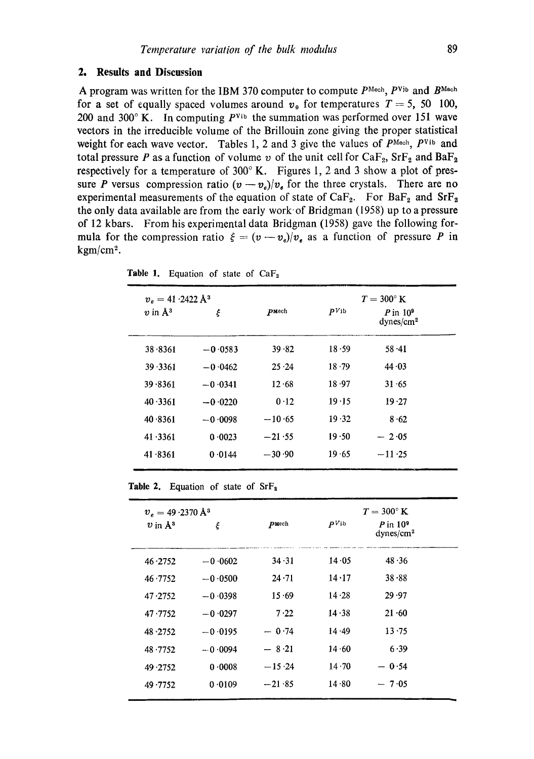## **2. Results and Discussion**

A program was written for the IBM 370 computer to compute  $P^{\text{Mech}}$ ,  $P^{\text{Vib}}$  and  $B^{\text{Mech}}$ for a set of equally spaced volumes around  $v_0$  for temperatures  $T = 5$ , 50 100, 200 and 300 $^{\circ}$  K. In computing  $P<sup>y<sub>ib</sub></sup>$  the summation was performed over 151 wave vectors in the irreducible volume of the Brillouin zone giving the proper statistical weight for each wave vector. Tables 1, 2 and 3 give the values of  $P^{\text{Mech}}$ ,  $P^{\text{Vib}}$  and total pressure P as a function of volume v of the unit cell for  $CaF_2$ ,  $SrF_2$  and  $BaF_2$ respectively for a temperature of  $300^\circ$  K. Figures 1, 2 and 3 show a plot of pressure P versus compression ratio  $(v - v_e)/v_e$  for the three crystals. There are no experimental measurements of the equation of state of  $CaF_2$ . For  $BaF_2$  and  $SrF_2$ the only data available are from the early work" of Bridgman (1958) up to a pressure of 12 kbars. From his experimental data Bridgman (1958) gave the following formula for the compression ratio  $\xi = (v - v_e)/v_e$  as a function of pressure P in  $kgm/cm<sup>2</sup>$ .

| $v_e = 41.2422 \text{ Å}^3$ |           |              | $T = 300^{\circ}$ K |                                      |
|-----------------------------|-----------|--------------|---------------------|--------------------------------------|
| $v$ in $\mathbf{A}^3$       | ξ         | <b>PMech</b> | $PV$ ib             | P in $10^9$<br>dynes/cm <sup>2</sup> |
| 38.8361                     | $-0.0583$ | 39.82        | 18.59               | $58 - 41$                            |
| 39 3361                     | $-0.0462$ | 25.24        | 18.79               | 44.03                                |
| 39.8361                     | $-0.0341$ | 12.68        | 18.97               | 31.65                                |
| 40.3361                     | $-0.0220$ | 0.12         | 19.15               | 19.27                                |
| 40.8361                     | $-0.0098$ | $-10.65$     | 19.32               | 8.62                                 |
| 41.3361                     | 0.0023    | $-21.55$     | 19.50               | $-2.05$                              |
| 41.8361                     | 0.0144    | $-30.90$     | 19.65               | $-11.25$                             |
|                             |           |              |                     |                                      |

Table 1. Equation of state of  $CaF<sub>2</sub>$ 

**Table** 2. Equation of state of SrFa

| $v_e = 49.2370 \text{ Å}^3$ |           | $T = 300^{\circ}$ K |               |                                       |  |
|-----------------------------|-----------|---------------------|---------------|---------------------------------------|--|
| $v$ in $\mathring{A}^3$     | ξ         | pmech               | $PV$ ib       | $P$ in $109$<br>dynes/cm <sup>2</sup> |  |
| 46.2752                     | $-0.0602$ | 34.31               | 14.05         | 48.36                                 |  |
| 46.7752                     | $-0.0500$ | $24 \cdot 71$       | $14 \cdot 17$ | 38.88                                 |  |
| 47.2752                     | $-0.0398$ | 15.69               | 14.28         | 29.97                                 |  |
| 47.7752                     | $-0.0297$ | 7.22                | 14.38         | $21 - 60$                             |  |
| 48.2752                     | $-0.0195$ | $-0.74$             | 14.49         | 13.75                                 |  |
| 48.7752                     | $-0.0094$ | $-8.21$             | 14.60         | 6.39                                  |  |
| 49.2752                     | 0.0008    | $-15.24$            | $14 - 70$     | $-0.54$                               |  |
| 49.7752                     | 0.0109    | $-21.85$            | 14.80         | $-7.05$                               |  |
|                             |           |                     |               |                                       |  |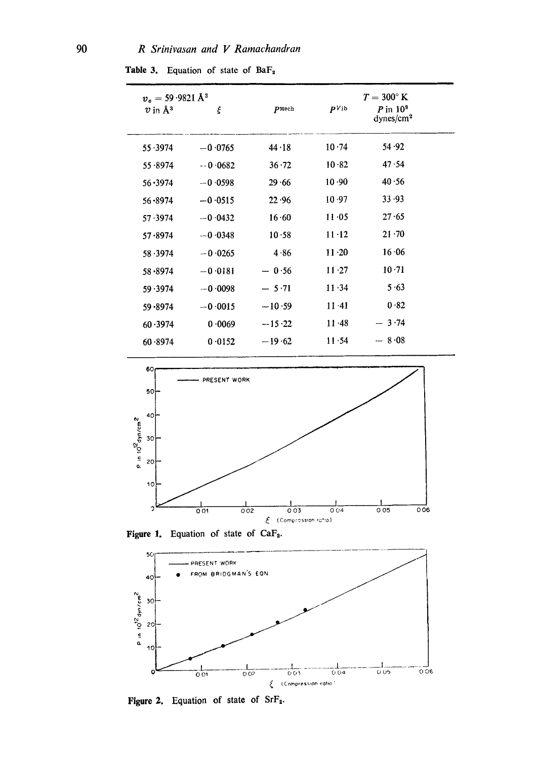Table 3. Equation of state of BaF<sub>2</sub>

| $v_e = 59.9821 \,\mathrm{\AA}^3$<br>$v$ in $\mathring{A}^3$ | ξ         | PMech         | $PV$ <sub>1</sub> b | $T = 300^{\circ}$ K<br>$P$ in $10^9$<br>dynes/cm <sup>2</sup> |  |
|-------------------------------------------------------------|-----------|---------------|---------------------|---------------------------------------------------------------|--|
| 55.3974                                                     | $-0.0765$ | $44 \cdot 18$ | 10.74               | 54.92                                                         |  |
| 55.8974                                                     | $-0.0682$ | $36 - 72$     | 10.82               | 47.54                                                         |  |
| $56 - 3974$                                                 | $-0.0598$ | 29.66         | 10.90               | 40.56                                                         |  |
| $56 - 8974$                                                 | $-0.0515$ | 22.96         | 10.97               | 33.93                                                         |  |
| 57.3974                                                     | $-0.0432$ | 16.60         | 11.05               | 27.65                                                         |  |
| 57.8974                                                     | $-0.0348$ | 10.58         | $11 - 12$           | $21 - 70$                                                     |  |
| 58.3974                                                     | $-0.0265$ | 4.86          | $11 - 20$           | $16 \cdot 06$                                                 |  |
| 58.8974                                                     | $-0.0181$ | $-0.56$       | $11 \cdot 27$       | 10.71                                                         |  |
| 59.3974                                                     | $-0.0098$ | $-5.71$       | $11 - 34$           | 5.63                                                          |  |
| 59.8974                                                     | $-0.0015$ | $-10.59$      | $11 - 41$           | 0.82                                                          |  |
| 60.3974                                                     | 0.0069    | $-15.22$      | $11 \cdot 48$       | $-3.74$                                                       |  |
| 60.8974                                                     | 0.0152    | $-19.62$      | 11.54               | $-8.08$                                                       |  |
|                                                             |           |               |                     |                                                               |  |



Figure 1. Equation of state of CaF<sub>2</sub>.



Figure 2. Equation of state of SrF<sub>2</sub>.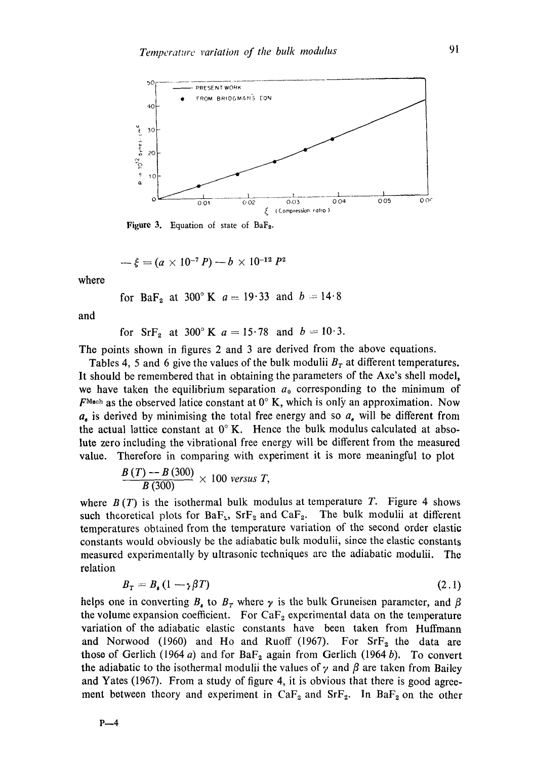

Figure 3. Equation of state of BaF<sub>2</sub>.

$$
-\xi = (a \times 10^{-7} P) - b \times 10^{-12} P^2
$$

where

for BaF<sub>2</sub> at 300<sup>o</sup> K 
$$
a = 19.33
$$
 and  $b = 14.8$ 

and

for 
$$
SrF_2
$$
 at 300° K  $a = 15.78$  and  $b = 10.3$ .

The points shown in figures 2 and 3 are derived from the above equations.

Tables 4, 5 and 6 give the values of the bulk modulii  $B<sub>r</sub>$  at different temperatures. It should be remembered that in obtaining the parameters of the Axe's shell model, we have taken the equilibrium separation  $a_0$  corresponding to the minimum of  $F^{\text{Moch}}$  as the observed latice constant at  $0^{\circ}$  K, which is only an approximation. Now  $a_n$  is derived by minimising the total free energy and so  $a_n$  will be different from the actual lattice constant at  $0^\circ$  K. Hence the bulk modulus calculated at absolute zero including the vibrational free energy will be different from the measured value. Therefore in comparing with experiment it is more meaningful to plot

$$
\frac{B(T)-B(300)}{B(300)}\times 100 \text{ versus } T,
$$

where  $B(T)$  is the isothermal bulk modulus at temperature T. Figure 4 shows such theoretical plots for  $BaF_{2}$ ,  $SrF_{2}$  and  $CaF_{2}$ . The bulk modulii at different temperatures obtained from the temperature variation of the second order elastic constants would obviously be the adiabatic bulk modulii, since the elastic constants measured experimentally by ultrasonic techniques are the adiabatic modulii. The relation

$$
B_T = B_s (1 - \gamma \beta T) \tag{2.1}
$$

helps one in converting  $B<sub>s</sub>$  to  $B<sub>T</sub>$  where  $\gamma$  is the bulk Gruneisen parameter, and  $\beta$ the volume expansion coefficient. For  $CaF<sub>2</sub>$  experimental data on the temperature variation of the adiabatic elastic constants have been taken from Huffmann and Norwood (1960) and Ho and Ruoff (1967). For  $SrF<sub>2</sub>$  the data are those of Gerlich (1964 a) and for Ba $F_2$  again from Gerlich (1964 b). To convert the adiabatic to the isothermal modulii the values of  $\gamma$  and  $\beta$  are taken from Bailey and Yates (1967). From a study of figure 4, it is obvious that there is good agreement between theory and experiment in  $CaF_2$  and  $SrF_2$ . In  $BaF_2$  on the other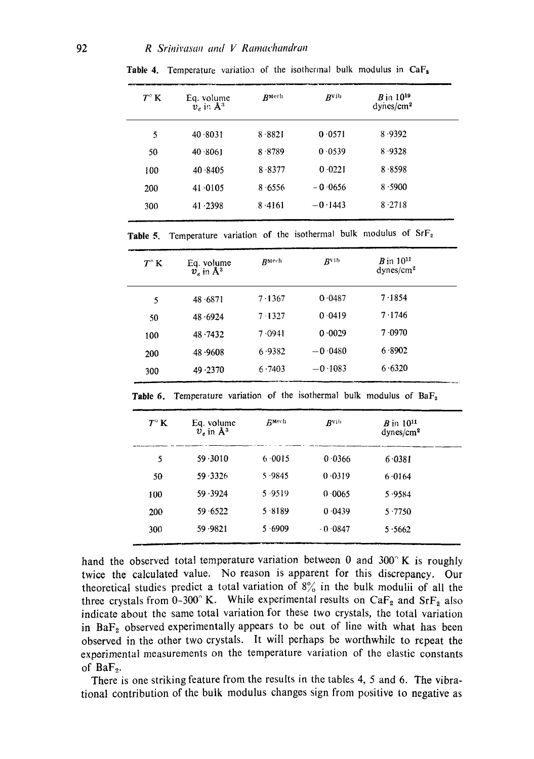| $T^{\circ} K$ | Eq. volume<br>$v_e$ in $\mathrm{A}^3$ | RMech  | Rvib      | $B$ in $10^{19}$<br>dynes/cm <sup>2</sup> |  |
|---------------|---------------------------------------|--------|-----------|-------------------------------------------|--|
| 5             | 40.8031                               | 8.8821 | 0.0571    | 8.9392                                    |  |
| 50            | 40.8061                               | 8.8789 | 0 0 5 3 9 | 8.9328                                    |  |
| 100           | 40.8405                               | 8.8377 | 0.0221    | 8.8598                                    |  |
| 200           | 41.0105                               | 8.6556 | $-0.0656$ | 8.5900                                    |  |
| 300           | 41.2398                               | 8.4161 | $-0.1443$ | 8.2718                                    |  |
|               |                                       |        |           |                                           |  |

Table 4. Temperature variation of the isothermal bulk modulus in CaF<sub>2</sub>

Table 5. Temperature variation of the isothermal bulk modulus **of SrF2** 

| $T^\circ$ K | Eq. volume<br>$\dot{v}_e$ in $\rm{\AA}^3$ | RMech  | <b>B</b> vib | $B$ in $10^{11}$<br>dynes/cm <sup>2</sup> |  |
|-------------|-------------------------------------------|--------|--------------|-------------------------------------------|--|
| 5           | 48.6871                                   | 7.1367 | 0.0487       | 7.1854                                    |  |
| 50          | 48.6924                                   | 7.1327 | 0.0419       | 7.1746                                    |  |
| 100         | 48.7432                                   | 7.0941 | 0.0029       | 7.0970                                    |  |
| 200         | 48.9608                                   | 6.9382 | $-0.0480$    | 6.8902                                    |  |
| 300         | 49.2370                                   | 6.7403 | $-0.1083$    | 6.6320                                    |  |

| $T^\circ K$ | Eq. volume<br>$v_e$ in $\mathring{A}^3$ | <b>RMech</b> | R <sub>V1</sub> | $B$ in $10^{11}$<br>dynes/cm <sup>2</sup> |
|-------------|-----------------------------------------|--------------|-----------------|-------------------------------------------|
| 5           | 59.3010                                 | 6.0015       | 0.0366          | 6.0381                                    |
| 50          | 59.3326                                 | 5.9845       | 0.0319          | 6.0164                                    |
| 100         | 59.3924                                 | 5.9519       | 0.0065          | 5.9584                                    |
| 200         | 59 6522                                 | 5.8189       | 0.0439          | 5.7750                                    |
| 300         | 59.9821                                 | 5.6909       | $-0.0847$       | 5.5662                                    |

Table 6. Temperature variation of the isothermal bulk modulus of BaF<sub>2</sub>

hand the observed total temperature variation between 0 and  $300^\circ$  K is roughly twice the calculated value. No reason is apparent for this discrepancy. Our theoretical studies predict a total variation of  $8\%$  in the bulk modulii of all the three crystals from 0-300° K. While experimental results on  $CaF<sub>2</sub>$  and  $SrF<sub>2</sub>$  also indicate about the same total variation for these two crystals, the total variation in  $BaF<sub>2</sub>$  observed experimentally appears to be out of line with what has been observed in the other two crystals. It will perhaps be worthwhile to repeat the experimental measurements on the temperature variation of the elastic constants of  $BaF<sub>2</sub>$ .

There is one striking feature from the results in the tables 4, 5 and 6. The vibrational contribution of the bulk modulus changes sign from positive to negative as